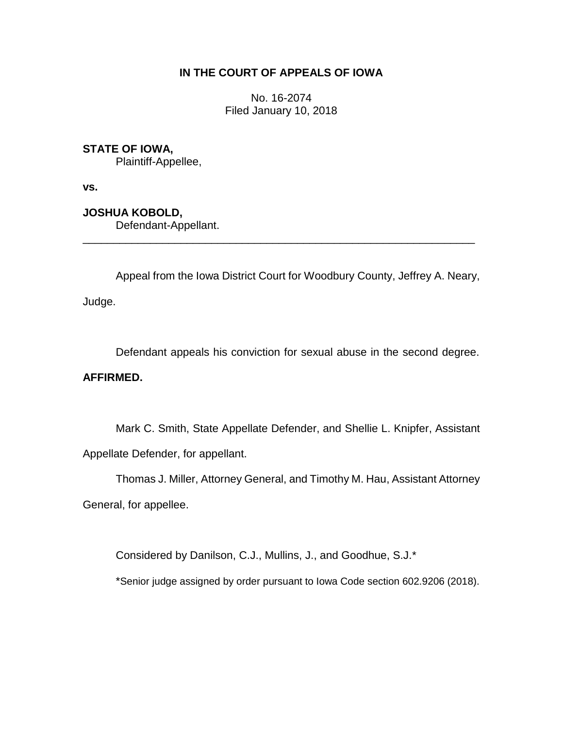# **IN THE COURT OF APPEALS OF IOWA**

No. 16-2074 Filed January 10, 2018

### **STATE OF IOWA,**

Plaintiff-Appellee,

**vs.**

**JOSHUA KOBOLD,**

Defendant-Appellant.

Appeal from the Iowa District Court for Woodbury County, Jeffrey A. Neary,

\_\_\_\_\_\_\_\_\_\_\_\_\_\_\_\_\_\_\_\_\_\_\_\_\_\_\_\_\_\_\_\_\_\_\_\_\_\_\_\_\_\_\_\_\_\_\_\_\_\_\_\_\_\_\_\_\_\_\_\_\_\_\_\_

Judge.

Defendant appeals his conviction for sexual abuse in the second degree.

# **AFFIRMED.**

Mark C. Smith, State Appellate Defender, and Shellie L. Knipfer, Assistant Appellate Defender, for appellant.

Thomas J. Miller, Attorney General, and Timothy M. Hau, Assistant Attorney

General, for appellee.

Considered by Danilson, C.J., Mullins, J., and Goodhue, S.J.\*

\*Senior judge assigned by order pursuant to Iowa Code section 602.9206 (2018).